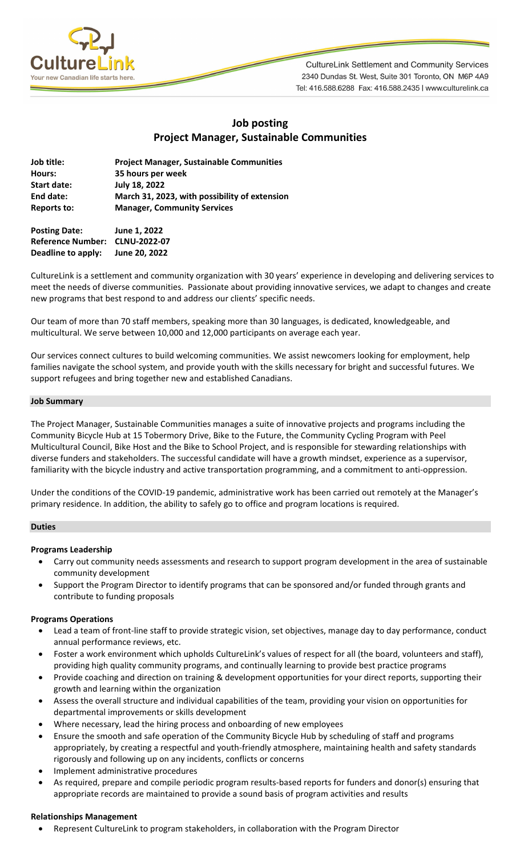

**CultureLink Settlement and Community Services** 2340 Dundas St. West, Suite 301 Toronto, ON M6P 4A9 Tel: 416.588.6288 Fax: 416.588.2435 | www.culturelink.ca

# **Job posting Project Manager, Sustainable Communities**

| Job title:         | <b>Project Manager, Sustainable Communities</b> |
|--------------------|-------------------------------------------------|
| Hours:             | 35 hours per week                               |
| <b>Start date:</b> | July 18, 2022                                   |
| End date:          | March 31, 2023, with possibility of extension   |
| <b>Reports to:</b> | <b>Manager, Community Services</b>              |
|                    |                                                 |

**Posting Date: June 1, 2022 Reference Number: CLNU-2022-07 Deadline to apply: June 20, 2022**

CultureLink is a settlement and community organization with 30 years' experience in developing and delivering services to meet the needs of diverse communities. Passionate about providing innovative services, we adapt to changes and create new programs that best respond to and address our clients' specific needs.

Our team of more than 70 staff members, speaking more than 30 languages, is dedicated, knowledgeable, and multicultural. We serve between 10,000 and 12,000 participants on average each year.

Our services connect cultures to build welcoming communities. We assist newcomers looking for employment, help families navigate the school system, and provide youth with the skills necessary for bright and successful futures. We support refugees and bring together new and established Canadians.

## **Job Summary**

The Project Manager, Sustainable Communities manages a suite of innovative projects and programs including the Community Bicycle Hub at 15 Tobermory Drive, Bike to the Future, the Community Cycling Program with Peel Multicultural Council, Bike Host and the Bike to School Project, and is responsible for stewarding relationships with diverse funders and stakeholders. The successful candidate will have a growth mindset, experience as a supervisor, familiarity with the bicycle industry and active transportation programming, and a commitment to anti-oppression.

Under the conditions of the COVID-19 pandemic, administrative work has been carried out remotely at the Manager's primary residence. In addition, the ability to safely go to office and program locations is required.

## **Duties**

## **Programs Leadership**

- Carry out community needs assessments and research to support program development in the area of sustainable community development
- Support the Program Director to identify programs that can be sponsored and/or funded through grants and contribute to funding proposals

#### **Programs Operations**

- Lead a team of front-line staff to provide strategic vision, set objectives, manage day to day performance, conduct annual performance reviews, etc.
- Foster a work environment which upholds CultureLink's values of respect for all (the board, volunteers and staff), providing high quality community programs, and continually learning to provide best practice programs
- Provide coaching and direction on training & development opportunities for your direct reports, supporting their growth and learning within the organization
- Assess the overall structure and individual capabilities of the team, providing your vision on opportunities for departmental improvements or skills development
- Where necessary, lead the hiring process and onboarding of new employees
- Ensure the smooth and safe operation of the Community Bicycle Hub by scheduling of staff and programs appropriately, by creating a respectful and youth-friendly atmosphere, maintaining health and safety standards rigorously and following up on any incidents, conflicts or concerns
- Implement administrative procedures
- As required, prepare and compile periodic program results-based reports for funders and donor(s) ensuring that appropriate records are maintained to provide a sound basis of program activities and results

#### **Relationships Management**

• Represent CultureLink to program stakeholders, in collaboration with the Program Director